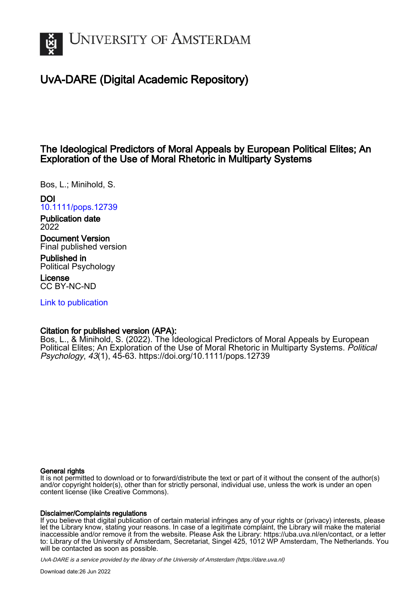

# UvA-DARE (Digital Academic Repository)

# The Ideological Predictors of Moral Appeals by European Political Elites; An Exploration of the Use of Moral Rhetoric in Multiparty Systems

Bos, L.; Minihold, S.

# DOI [10.1111/pops.12739](https://doi.org/10.1111/pops.12739)

Publication date 2022

Document Version Final published version

Published in Political Psychology

License CC BY-NC-ND

[Link to publication](https://dare.uva.nl/personal/pure/en/publications/the-ideological-predictors-of-moral-appeals-by-european-political-elites-an-exploration-of-the-use-of-moral-rhetoric-in-multiparty-systems(c30e6ec8-b41b-4a5b-892b-227f300cd32a).html)

# Citation for published version (APA):

Bos, L., & Minihold, S. (2022). The Ideological Predictors of Moral Appeals by European Political Elites; An Exploration of the Use of Moral Rhetoric in Multiparty Systems. Political Psychology, 43(1), 45-63. <https://doi.org/10.1111/pops.12739>

# General rights

It is not permitted to download or to forward/distribute the text or part of it without the consent of the author(s) and/or copyright holder(s), other than for strictly personal, individual use, unless the work is under an open content license (like Creative Commons).

# Disclaimer/Complaints regulations

If you believe that digital publication of certain material infringes any of your rights or (privacy) interests, please let the Library know, stating your reasons. In case of a legitimate complaint, the Library will make the material inaccessible and/or remove it from the website. Please Ask the Library: https://uba.uva.nl/en/contact, or a letter to: Library of the University of Amsterdam, Secretariat, Singel 425, 1012 WP Amsterdam, The Netherlands. You will be contacted as soon as possible.

UvA-DARE is a service provided by the library of the University of Amsterdam (http*s*://dare.uva.nl)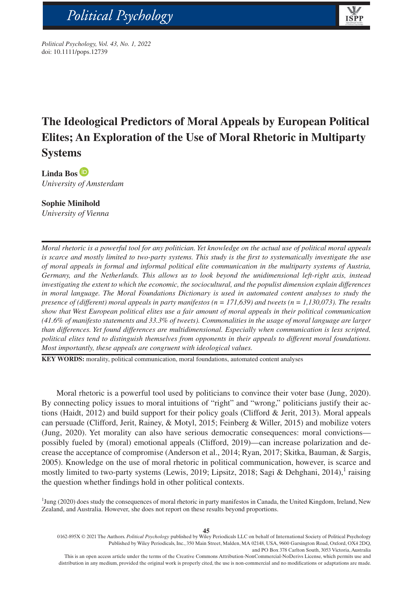

*Political Psychology, Vol. 43, No. 1, 2022* doi: 10.1111/pops.12739

bs\_bs\_banner

# **The Ideological Predictors of Moral Appeals by European Political Elites; An Exploration of the Use of Moral Rhetoric in Multiparty Systems**

**Linda Bo[s](https://orcid.org/0000-0002-0160-3490)** *University of Amsterdam*

# **Sophie Minihold**

*University of Vienna*

*Moral rhetoric is a powerful tool for any politician. Yet knowledge on the actual use of political moral appeals is scarce and mostly limited to two-party systems. This study is the first to systematically investigate the use of moral appeals in formal and informal political elite communication in the multiparty systems of Austria, Germany, and the Netherlands. This allows us to look beyond the unidimensional left-right axis, instead investigating the extent to which the economic, the sociocultural, and the populist dimension explain differences in moral language. The Moral Foundations Dictionary is used in automated content analyses to study the presence of (different) moral appeals in party manifestos (n = 171,639) and tweets (n = 1,130,073). The results show that West European political elites use a fair amount of moral appeals in their political communication (41.6% of manifesto statements and 33.3% of tweets). Commonalities in the usage of moral language are larger than differences. Yet found differences are multidimensional. Especially when communication is less scripted, political elites tend to distinguish themselves from opponents in their appeals to different moral foundations. Most importantly, these appeals are congruent with ideological values.*

**KEY WORDS:** morality, political communication, moral foundations, automated content analyses

Moral rhetoric is a powerful tool used by politicians to convince their voter base (Jung, 2020). By connecting policy issues to moral intuitions of "right" and "wrong," politicians justify their actions (Haidt, 2012) and build support for their policy goals (Clifford & Jerit, 2013). Moral appeals can persuade (Clifford, Jerit, Rainey, & Motyl, 2015; Feinberg & Willer, 2015) and mobilize voters (Jung, 2020). Yet morality can also have serious democratic consequences: moral convictions possibly fueled by (moral) emotional appeals (Clifford, 2019)—can increase polarization and decrease the acceptance of compromise (Anderson et al., 2014; Ryan, 2017; Skitka, Bauman, & Sargis, 2005). Knowledge on the use of moral rhetoric in political communication, however, is scarce and mostly limited to two-party systems (Lewis, 2019; Lipsitz, 2018; Sagi & Dehghani, 2014),<sup>1</sup> raising the question whether findings hold in other political contexts.

<sup>1</sup>Jung (2020) does study the consequences of moral rhetoric in party manifestos in Canada, the United Kingdom, Ireland, New Zealand, and Australia. However, she does not report on these results beyond proportions.

<sup>0162-895</sup>X © 2021 The Authors. *Political Psychology* published by Wiley Periodicals LLC on behalf of International Society of Political Psychology Published by Wiley Periodicals, Inc., 350 Main Street, Malden, MA 02148, USA, 9600 Garsington Road, Oxford, OX4 2DQ, and PO Box 378 Carlton South, 3053 Victoria, Australia

This is an open access article under the terms of the [Creative Commons Attribution-NonCommercial-NoDerivs](http://creativecommons.org/licenses/by-nc-nd/4.0/) License, which permits use and distribution in any medium, provided the original work is properly cited, the use is non-commercial and no modifications or adaptations are made.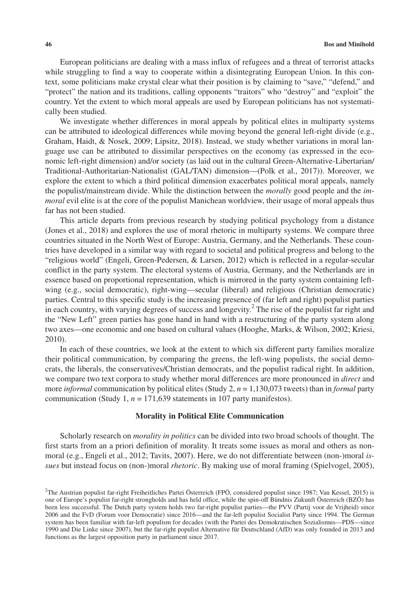European politicians are dealing with a mass influx of refugees and a threat of terrorist attacks while struggling to find a way to cooperate within a disintegrating European Union. In this context, some politicians make crystal clear what their position is by claiming to "save," "defend," and "protect" the nation and its traditions, calling opponents "traitors" who "destroy" and "exploit" the country. Yet the extent to which moral appeals are used by European politicians has not systematically been studied.

We investigate whether differences in moral appeals by political elites in multiparty systems can be attributed to ideological differences while moving beyond the general left-right divide (e.g., Graham, Haidt, & Nosek, 2009; Lipsitz, 2018). Instead, we study whether variations in moral language use can be attributed to dissimilar perspectives on the economy (as expressed in the economic left-right dimension) and/or society (as laid out in the cultural Green-Alternative-Libertarian/ Traditional-Authoritarian-Nationalist (GAL/TAN) dimension—(Polk et al., 2017)). Moreover, we explore the extent to which a third political dimension exacerbates political moral appeals, namely the populist/mainstream divide. While the distinction between the *morally* good people and the *immoral* evil elite is at the core of the populist Manichean worldview, their usage of moral appeals thus far has not been studied.

This article departs from previous research by studying political psychology from a distance (Jones et al., 2018) and explores the use of moral rhetoric in multiparty systems. We compare three countries situated in the North West of Europe: Austria, Germany, and the Netherlands. These countries have developed in a similar way with regard to societal and political progress and belong to the "religious world" (Engeli, Green-Pedersen, & Larsen, 2012) which is reflected in a regular-secular conflict in the party system. The electoral systems of Austria, Germany, and the Netherlands are in essence based on proportional representation, which is mirrored in the party system containing leftwing (e.g., social democratic), right-wing—secular (liberal) and religious (Christian democratic) parties. Central to this specific study is the increasing presence of (far left and right) populist parties in each country, with varying degrees of success and longevity.<sup>2</sup> The rise of the populist far right and the "New Left" green parties has gone hand in hand with a restructuring of the party system along two axes—one economic and one based on cultural values (Hooghe, Marks, & Wilson, 2002; Kriesi, 2010).

In each of these countries, we look at the extent to which six different party families moralize their political communication, by comparing the greens, the left-wing populists, the social democrats, the liberals, the conservatives/Christian democrats, and the populist radical right. In addition, we compare two text corpora to study whether moral differences are more pronounced in *direct* and more *informal* communication by political elites (Study 2, *n* = 1,130,073 tweets) than in *formal* party communication (Study 1, *n* = 171,639 statements in 107 party manifestos).

#### **Morality in Political Elite Communication**

Scholarly research on *morality in politics* can be divided into two broad schools of thought. The first starts from an a priori definition of morality. It treats some issues as moral and others as nonmoral (e.g., Engeli et al., 2012; Tavits, 2007). Here, we do not differentiate between (non-)moral *issues* but instead focus on (non-)moral *rhetoric*. By making use of moral framing (Spielvogel, 2005),

<sup>2</sup> The Austrian populist far-right Freiheitliches Partei Österreich (FPÖ, considered populist since 1987; Van Kessel, 2015) is one of Europe's populist far-right strongholds and has held office, while the spin-off Bündnis Zukunft Österreich (BZÖ) has been less successful. The Dutch party system holds two far-right populist parties—the PVV (Partij voor de Vrijheid) since 2006 and the FvD (Forum voor Democratie) since 2016—and the far-left populist Socialist Party since 1994. The German system has been familiar with far-left populism for decades (with the Partei des Demokratischen Sozialismus—PDS—since 1990 and Die Linke since 2007), but the far-right populist Alternative für Deutschland (AfD) was only founded in 2013 and functions as the largest opposition party in parliament since 2017.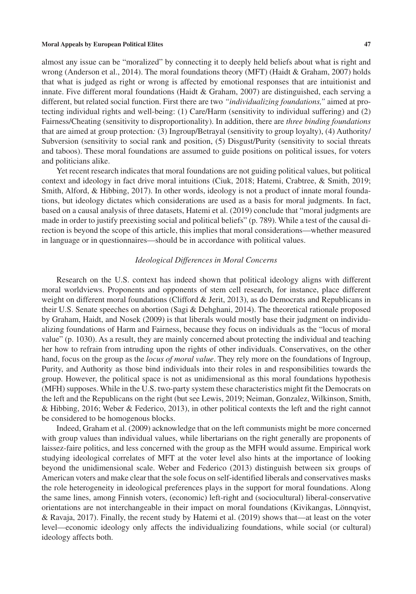almost any issue can be "moralized" by connecting it to deeply held beliefs about what is right and wrong (Anderson et al., 2014). The moral foundations theory (MFT) (Haidt & Graham, 2007) holds that what is judged as right or wrong is affected by emotional responses that are intuitionist and innate. Five different moral foundations (Haidt & Graham, 2007) are distinguished, each serving a different, but related social function. First there are two *"individualizing foundations,"* aimed at protecting individual rights and well-being: (1) Care/Harm (sensitivity to individual suffering) and (2) Fairness/Cheating (sensitivity to disproportionality). In addition, there are *three binding foundations* that are aimed at group protection*:* (3) Ingroup/Betrayal (sensitivity to group loyalty), (4) Authority/ Subversion (sensitivity to social rank and position, (5) Disgust/Purity (sensitivity to social threats and taboos). These moral foundations are assumed to guide positions on political issues, for voters and politicians alike.

Yet recent research indicates that moral foundations are not guiding political values, but political context and ideology in fact drive moral intuitions (Ciuk, 2018; Hatemi, Crabtree, & Smith, 2019; Smith, Alford, & Hibbing, 2017). In other words, ideology is not a product of innate moral foundations, but ideology dictates which considerations are used as a basis for moral judgments. In fact, based on a causal analysis of three datasets, Hatemi et al. (2019) conclude that "moral judgments are made in order to justify preexisting social and political beliefs" (p. 789). While a test of the causal direction is beyond the scope of this article, this implies that moral considerations—whether measured in language or in questionnaires—should be in accordance with political values.

### *Ideological Differences in Moral Concerns*

Research on the U.S. context has indeed shown that political ideology aligns with different moral worldviews. Proponents and opponents of stem cell research, for instance, place different weight on different moral foundations (Clifford & Jerit, 2013), as do Democrats and Republicans in their U.S. Senate speeches on abortion (Sagi & Dehghani, 2014). The theoretical rationale proposed by Graham, Haidt, and Nosek (2009) is that liberals would mostly base their judgment on individualizing foundations of Harm and Fairness, because they focus on individuals as the "locus of moral value" (p. 1030). As a result, they are mainly concerned about protecting the individual and teaching her how to refrain from intruding upon the rights of other individuals. Conservatives, on the other hand, focus on the group as the *locus of moral value*. They rely more on the foundations of Ingroup, Purity, and Authority as those bind individuals into their roles in and responsibilities towards the group. However, the political space is not as unidimensional as this moral foundations hypothesis (MFH) supposes. While in the U.S. two-party system these characteristics might fit the Democrats on the left and the Republicans on the right (but see Lewis, 2019; Neiman, Gonzalez, Wilkinson, Smith, & Hibbing, 2016; Weber & Federico, 2013), in other political contexts the left and the right cannot be considered to be homogenous blocks.

Indeed, Graham et al. (2009) acknowledge that on the left communists might be more concerned with group values than individual values, while libertarians on the right generally are proponents of laissez-faire politics, and less concerned with the group as the MFH would assume. Empirical work studying ideological correlates of MFT at the voter level also hints at the importance of looking beyond the unidimensional scale. Weber and Federico (2013) distinguish between six groups of American voters and make clear that the sole focus on self-identified liberals and conservatives masks the role heterogeneity in ideological preferences plays in the support for moral foundations. Along the same lines, among Finnish voters, (economic) left-right and (sociocultural) liberal-conservative orientations are not interchangeable in their impact on moral foundations (Kivikangas, Lönnqvist, & Ravaja, 2017). Finally, the recent study by Hatemi et al. (2019) shows that—at least on the voter level—economic ideology only affects the individualizing foundations, while social (or cultural) ideology affects both.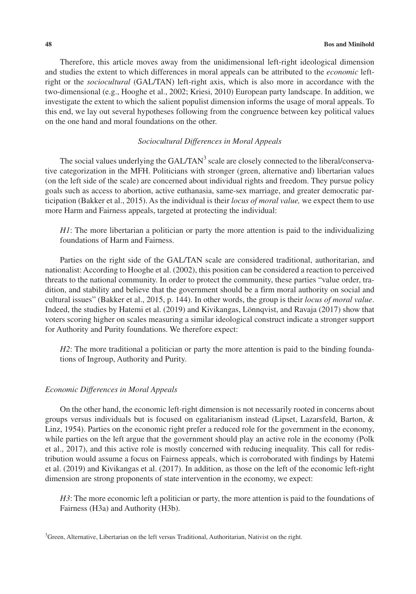Therefore, this article moves away from the unidimensional left-right ideological dimension and studies the extent to which differences in moral appeals can be attributed to the *economic* leftright or the *sociocultural* (GAL/TAN) left-right axis, which is also more in accordance with the two-dimensional (e.g., Hooghe et al., 2002; Kriesi, 2010) European party landscape. In addition, we investigate the extent to which the salient populist dimension informs the usage of moral appeals. To this end, we lay out several hypotheses following from the congruence between key political values on the one hand and moral foundations on the other.

## *Sociocultural Differences in Moral Appeals*

The social values underlying the  $GAL/TAN<sup>3</sup>$  scale are closely connected to the liberal/conservative categorization in the MFH. Politicians with stronger (green, alternative and) libertarian values (on the left side of the scale) are concerned about individual rights and freedom. They pursue policy goals such as access to abortion, active euthanasia, same-sex marriage, and greater democratic participation (Bakker et al., 2015). As the individual is their *locus of moral value,* we expect them to use more Harm and Fairness appeals, targeted at protecting the individual:

*H1*: The more libertarian a politician or party the more attention is paid to the individualizing foundations of Harm and Fairness.

Parties on the right side of the GAL/TAN scale are considered traditional, authoritarian, and nationalist: According to Hooghe et al. (2002), this position can be considered a reaction to perceived threats to the national community. In order to protect the community, these parties "value order, tradition, and stability and believe that the government should be a firm moral authority on social and cultural issues" (Bakker et al., 2015, p. 144). In other words, the group is their *locus of moral value*. Indeed, the studies by Hatemi et al. (2019) and Kivikangas, Lönnqvist, and Ravaja (2017) show that voters scoring higher on scales measuring a similar ideological construct indicate a stronger support for Authority and Purity foundations. We therefore expect:

*H2*: The more traditional a politician or party the more attention is paid to the binding foundations of Ingroup, Authority and Purity.

#### *Economic Differences in Moral Appeals*

On the other hand, the economic left-right dimension is not necessarily rooted in concerns about groups versus individuals but is focused on egalitarianism instead (Lipset, Lazarsfeld, Barton, & Linz, 1954). Parties on the economic right prefer a reduced role for the government in the economy, while parties on the left argue that the government should play an active role in the economy (Polk et al., 2017), and this active role is mostly concerned with reducing inequality. This call for redistribution would assume a focus on Fairness appeals, which is corroborated with findings by Hatemi et al. (2019) and Kivikangas et al. (2017). In addition, as those on the left of the economic left-right dimension are strong proponents of state intervention in the economy, we expect:

*H3*: The more economic left a politician or party, the more attention is paid to the foundations of Fairness (H3a) and Authority (H3b).

 ${}^{3}$ Green, Alternative, Libertarian on the left versus Traditional, Authoritarian, Nativist on the right.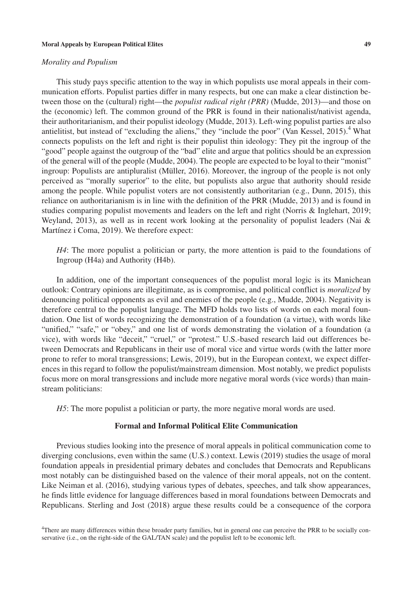#### *Morality and Populism*

This study pays specific attention to the way in which populists use moral appeals in their communication efforts. Populist parties differ in many respects, but one can make a clear distinction between those on the (cultural) right—the *populist radical right (PRR)* (Mudde, 2013)—and those on the (economic) left. The common ground of the PRR is found in their nationalist/nativist agenda, their authoritarianism, and their populist ideology (Mudde, 2013). Left-wing populist parties are also antielitist, but instead of "excluding the aliens," they "include the poor" (Van Kessel, 2015).<sup>4</sup> What connects populists on the left and right is their populist thin ideology: They pit the ingroup of the "good" people against the outgroup of the "bad" elite and argue that politics should be an expression of the general will of the people (Mudde, 2004). The people are expected to be loyal to their "monist" ingroup: Populists are antipluralist (Müller, 2016). Moreover, the ingroup of the people is not only perceived as "morally superior" to the elite, but populists also argue that authority should reside among the people. While populist voters are not consistently authoritarian (e.g., Dunn, 2015), this reliance on authoritarianism is in line with the definition of the PRR (Mudde, 2013) and is found in studies comparing populist movements and leaders on the left and right (Norris & Inglehart, 2019; Weyland, 2013), as well as in recent work looking at the personality of populist leaders (Nai & Martínez i Coma, 2019). We therefore expect:

*H4*: The more populist a politician or party, the more attention is paid to the foundations of Ingroup (H4a) and Authority (H4b).

In addition, one of the important consequences of the populist moral logic is its Manichean outlook: Contrary opinions are illegitimate, as is compromise, and political conflict is *moralized* by denouncing political opponents as evil and enemies of the people (e.g., Mudde, 2004). Negativity is therefore central to the populist language. The MFD holds two lists of words on each moral foundation. One list of words recognizing the demonstration of a foundation (a virtue), with words like "unified," "safe," or "obey," and one list of words demonstrating the violation of a foundation (a vice), with words like "deceit," "cruel," or "protest." U.S.-based research laid out differences between Democrats and Republicans in their use of moral vice and virtue words (with the latter more prone to refer to moral transgressions; Lewis, 2019), but in the European context, we expect differences in this regard to follow the populist/mainstream dimension. Most notably, we predict populists focus more on moral transgressions and include more negative moral words (vice words) than mainstream politicians:

*H5*: The more populist a politician or party, the more negative moral words are used.

## **Formal and Informal Political Elite Communication**

Previous studies looking into the presence of moral appeals in political communication come to diverging conclusions, even within the same (U.S.) context. Lewis (2019) studies the usage of moral foundation appeals in presidential primary debates and concludes that Democrats and Republicans most notably can be distinguished based on the valence of their moral appeals, not on the content. Like Neiman et al. (2016), studying various types of debates, speeches, and talk show appearances, he finds little evidence for language differences based in moral foundations between Democrats and Republicans. Sterling and Jost (2018) argue these results could be a consequence of the corpora

4 There are many differences within these broader party families, but in general one can perceive the PRR to be socially conservative (i.e., on the right-side of the GAL/TAN scale) and the populist left to be economic left.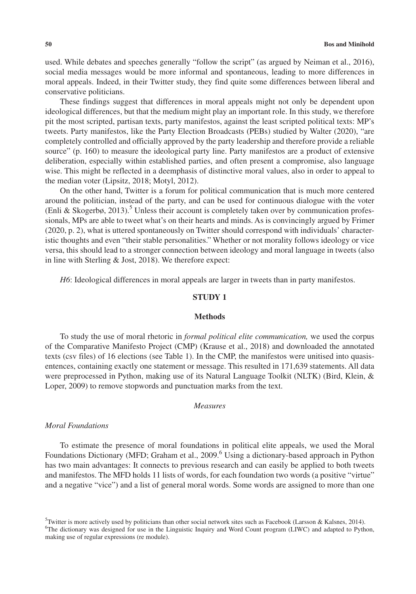used. While debates and speeches generally "follow the script" (as argued by Neiman et al., 2016), social media messages would be more informal and spontaneous, leading to more differences in moral appeals. Indeed, in their Twitter study, they find quite some differences between liberal and conservative politicians.

These findings suggest that differences in moral appeals might not only be dependent upon ideological differences, but that the medium might play an important role. In this study, we therefore pit the most scripted, partisan texts, party manifestos, against the least scripted political texts: MP's tweets. Party manifestos, like the Party Election Broadcasts (PEBs) studied by Walter (2020), "are completely controlled and officially approved by the party leadership and therefore provide a reliable source" (p. 160) to measure the ideological party line. Party manifestos are a product of extensive deliberation, especially within established parties, and often present a compromise, also language wise. This might be reflected in a deemphasis of distinctive moral values, also in order to appeal to the median voter (Lipsitz, 2018; Motyl, 2012).

On the other hand, Twitter is a forum for political communication that is much more centered around the politician, instead of the party, and can be used for continuous dialogue with the voter (Enli & Skogerbø, 2013).<sup>5</sup> Unless their account is completely taken over by communication professionals, MPs are able to tweet what's on their hearts and minds. As is convincingly argued by Frimer (2020, p. 2), what is uttered spontaneously on Twitter should correspond with individuals' characteristic thoughts and even "their stable personalities." Whether or not morality follows ideology or vice versa, this should lead to a stronger connection between ideology and moral language in tweets (also in line with Sterling & Jost, 2018). We therefore expect:

*H6*: Ideological differences in moral appeals are larger in tweets than in party manifestos.

#### **STUDY 1**

#### **Methods**

To study the use of moral rhetoric in *formal political elite communication,* we used the corpus of the Comparative Manifesto Project (CMP) (Krause et al., 2018) and downloaded the annotated texts (csv files) of 16 elections (see Table 1). In the CMP, the manifestos were unitised into quasisentences, containing exactly one statement or message. This resulted in 171,639 statements. All data were preprocessed in Python, making use of its Natural Language Toolkit (NLTK) (Bird, Klein, & Loper, 2009) to remove stopwords and punctuation marks from the text.

#### *Measures*

#### *Moral Foundations*

To estimate the presence of moral foundations in political elite appeals, we used the Moral Foundations Dictionary (MFD; Graham et al., 2009.<sup>6</sup> Using a dictionary-based approach in Python has two main advantages: It connects to previous research and can easily be applied to both tweets and manifestos. The MFD holds 11 lists of words, for each foundation two words (a positive "virtue" and a negative "vice") and a list of general moral words. Some words are assigned to more than one

<sup>&</sup>lt;sup>5</sup> Twitter is more actively used by politicians than other social network sites such as Facebook (Larsson & Kalsnes, 2014). 6 The dictionary was designed for use in the Linguistic Inquiry and Word Count program (LIWC) and adapted to Python, making use of regular expressions (re module).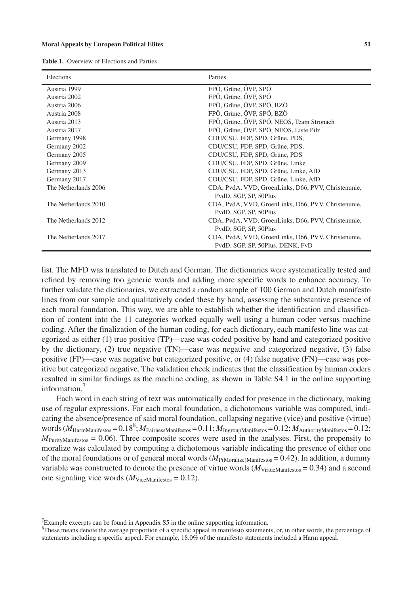**Table 1.** Overview of Elections and Parties

| Elections            | Parties                                                                      |
|----------------------|------------------------------------------------------------------------------|
| Austria 1999         | FPÖ, Grüne, ÖVP, SPÖ                                                         |
| Austria 2002         | FPÖ, Grüne, ÖVP, SPÖ                                                         |
| Austria 2006         | FPÖ, Grüne, ÖVP, SPÖ, BZÖ                                                    |
| Austria 2008         | FPÖ, Grüne, ÖVP, SPÖ, BZÖ                                                    |
| Austria 2013         | FPÖ, Grüne, ÖVP, SPÖ, NEOS, Team Stronach                                    |
| Austria 2017         | FPÖ, Grüne, ÖVP, SPÖ, NEOS, Liste Pilz                                       |
| Germany 1998         | CDU/CSU, FDP, SPD, Grüne, PDS,                                               |
| Germany 2002         | CDU/CSU, FDP, SPD, Grüne, PDS,                                               |
| Germany 2005         | CDU/CSU, FDP, SPD, Grüne, PDS                                                |
| Germany 2009         | CDU/CSU, FDP, SPD, Grüne, Linke                                              |
| Germany 2013         | CDU/CSU, FDP, SPD, Grüne, Linke, AfD                                         |
| Germany 2017         | CDU/CSU, FDP, SPD, Grüne, Linke, AfD                                         |
| The Netherlands 2006 | CDA, PvdA, VVD, GroenLinks, D66, PVV, Christenunie,<br>PvdD, SGP, SP, 50Plus |
| The Netherlands 2010 | CDA, PvdA, VVD, GroenLinks, D66, PVV, Christenunie,<br>PvdD, SGP, SP, 50Plus |
| The Netherlands 2012 | CDA, PvdA, VVD, GroenLinks, D66, PVV, Christenunie,                          |
|                      | PvdD, SGP, SP, 50Plus                                                        |
| The Netherlands 2017 | CDA, PvdA, VVD, GroenLinks, D66, PVV, Christenunie,                          |
|                      | PvdD, SGP, SP, 50Plus, DENK, FvD                                             |

list. The MFD was translated to Dutch and German. The dictionaries were systematically tested and refined by removing too generic words and adding more specific words to enhance accuracy. To further validate the dictionaries, we extracted a random sample of 100 German and Dutch manifesto lines from our sample and qualitatively coded these by hand, assessing the substantive presence of each moral foundation. This way, we are able to establish whether the identification and classification of content into the 11 categories worked equally well using a human coder versus machine coding. After the finalization of the human coding, for each dictionary, each manifesto line was categorized as either (1) true positive (TP)—case was coded positive by hand and categorized positive by the dictionary, (2) true negative (TN)—case was negative and categorized negative, (3) false positive (FP)—case was negative but categorized positive, or (4) false negative (FN)—case was positive but categorized negative. The validation check indicates that the classification by human coders resulted in similar findings as the machine coding, as shown in Table S4.1 in the online supporting information.<sup>1</sup>

Each word in each string of text was automatically coded for presence in the dictionary, making use of regular expressions. For each moral foundation, a dichotomous variable was computed, indicating the absence/presence of said moral foundation, collapsing negative (vice) and positive (virtue) words  $(M_{\text{HarmManifestos}} = 0.18^8; M_{\text{FairnessManifestos}} = 0.11; M_{\text{IngroupManifestos}} = 0.12; M_{\text{AuthorityManifestos}} = 0.12;$  $M_{\text{PurityManifestos}} = 0.06$ ). Three composite scores were used in the analyses. First, the propensity to moralize was calculated by computing a dichotomous variable indicating the presence of either one of the moral foundations or of general moral words ( $M_{\text{P(Moralize)Manifestos}} = 0.42$ ). In addition, a dummy variable was constructed to denote the presence of virtue words  $(M_{\text{VirtualManifestos}} = 0.34)$  and a second one signaling vice words  $(M_{\text{ViceManifestos}} = 0.12)$ .

 $7$ Example excerpts can be found in Appendix S5 in the online supporting information.

<sup>&</sup>lt;sup>8</sup>These means denote the average proportion of a specific appeal in manifesto statements, or, in other words, the percentage of statements including a specific appeal. For example, 18.0% of the manifesto statements included a Harm appeal.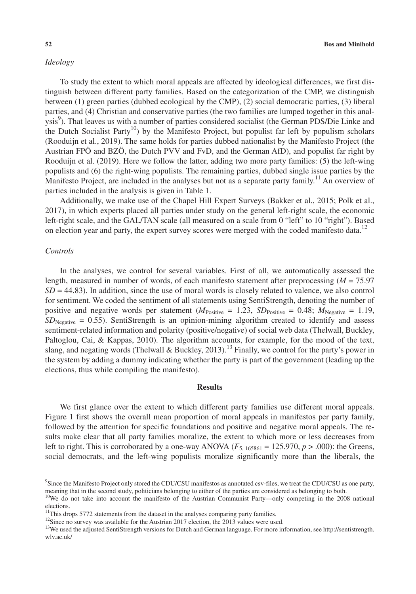# *Ideology*

To study the extent to which moral appeals are affected by ideological differences, we first distinguish between different party families. Based on the categorization of the CMP, we distinguish between (1) green parties (dubbed ecological by the CMP), (2) social democratic parties, (3) liberal parties, and (4) Christian and conservative parties (the two families are lumped together in this analysis<sup>9</sup>). That leaves us with a number of parties considered socialist (the German PDS/Die Linke and the Dutch Socialist Party<sup>10</sup>) by the Manifesto Project, but populist far left by populism scholars (Rooduijn et al., 2019). The same holds for parties dubbed nationalist by the Manifesto Project (the Austrian FPÖ and BZÖ, the Dutch PVV and FvD, and the German AfD), and populist far right by Rooduijn et al. (2019). Here we follow the latter, adding two more party families: (5) the left-wing populists and (6) the right-wing populists. The remaining parties, dubbed single issue parties by the Manifesto Project, are included in the analyses but not as a separate party family.<sup>11</sup> An overview of parties included in the analysis is given in Table 1.

Additionally, we make use of the Chapel Hill Expert Surveys (Bakker et al., 2015; Polk et al., 2017), in which experts placed all parties under study on the general left-right scale, the economic left-right scale, and the GAL/TAN scale (all measured on a scale from 0 "left" to 10 "right"). Based on election year and party, the expert survey scores were merged with the coded manifesto data.<sup>12</sup>

#### *Controls*

In the analyses, we control for several variables. First of all, we automatically assessed the length, measured in number of words, of each manifesto statement after preprocessing (*M* = 75.97 *SD* = 44.83). In addition, since the use of moral words is closely related to valence, we also control for sentiment. We coded the sentiment of all statements using SentiStrength, denoting the number of positive and negative words per statement  $(M_{\text{Positive}} = 1.23, SD_{\text{Positive}} = 0.48; M_{\text{Negative}} = 1.19,$  $SD_{Neeative} = 0.55$ ). SentiStrength is an opinion-mining algorithm created to identify and assess sentiment-related information and polarity (positive/negative) of social web data (Thelwall, Buckley, Paltoglou, Cai, & Kappas, 2010). The algorithm accounts, for example, for the mood of the text, slang, and negating words (Thelwall & Buckley, 2013).<sup>13</sup> Finally, we control for the party's power in the system by adding a dummy indicating whether the party is part of the government (leading up the elections, thus while compiling the manifesto).

#### **Results**

We first glance over the extent to which different party families use different moral appeals. Figure 1 first shows the overall mean proportion of moral appeals in manifestos per party family, followed by the attention for specific foundations and positive and negative moral appeals. The results make clear that all party families moralize, the extent to which more or less decreases from left to right. This is corroborated by a one-way ANOVA  $(F_{5, 165861} = 125.970, p > .000)$ : the Greens, social democrats, and the left-wing populists moralize significantly more than the liberals, the

<sup>9</sup> Since the Manifesto Project only stored the CDU/CSU manifestos as annotated csv-files, we treat the CDU/CSU as one party, meaning that in the second study, politicians belonging to either of the parties are considered as belonging to both.

<sup>&</sup>lt;sup>10</sup>We do not take into account the manifesto of the Austrian Communist Party—only competing in the 2008 national elections.

<sup>&</sup>lt;sup>11</sup>This drops 5772 statements from the dataset in the analyses comparing party families.

<sup>&</sup>lt;sup>12</sup>Since no survey was available for the Austrian 2017 election, the 2013 values were used.

<sup>&</sup>lt;sup>13</sup>We used the adjusted SentiStrength versions for Dutch and German language. For more information, see [http://sentistrength.](http://sentistrength.wlv.ac.uk/) [wlv.ac.uk/](http://sentistrength.wlv.ac.uk/)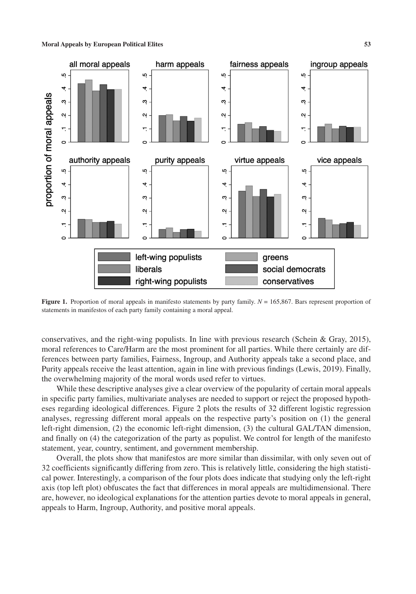

**Figure 1.** Proportion of moral appeals in manifesto statements by party family.  $N = 165,867$ . Bars represent proportion of statements in manifestos of each party family containing a moral appeal.

conservatives, and the right-wing populists. In line with previous research (Schein & Gray, 2015), moral references to Care/Harm are the most prominent for all parties. While there certainly are differences between party families, Fairness, Ingroup, and Authority appeals take a second place, and Purity appeals receive the least attention, again in line with previous findings (Lewis, 2019). Finally, the overwhelming majority of the moral words used refer to virtues.

While these descriptive analyses give a clear overview of the popularity of certain moral appeals in specific party families, multivariate analyses are needed to support or reject the proposed hypotheses regarding ideological differences. Figure 2 plots the results of 32 different logistic regression analyses, regressing different moral appeals on the respective party's position on (1) the general left-right dimension, (2) the economic left-right dimension, (3) the cultural GAL/TAN dimension, and finally on (4) the categorization of the party as populist. We control for length of the manifesto statement, year, country, sentiment, and government membership.

Overall, the plots show that manifestos are more similar than dissimilar, with only seven out of 32 coefficients significantly differing from zero. This is relatively little, considering the high statistical power. Interestingly, a comparison of the four plots does indicate that studying only the left-right axis (top left plot) obfuscates the fact that differences in moral appeals are multidimensional. There are, however, no ideological explanations for the attention parties devote to moral appeals in general, appeals to Harm, Ingroup, Authority, and positive moral appeals.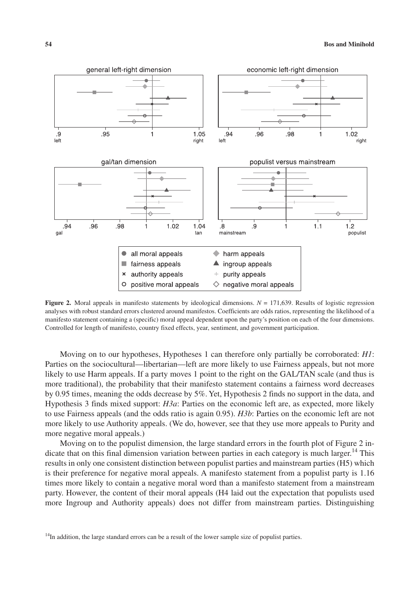

**Figure 2.** Moral appeals in manifesto statements by ideological dimensions.  $N = 171,639$ . Results of logistic regression analyses with robust standard errors clustered around manifestos. Coefficients are odds ratios, representing the likelihood of a manifesto statement containing a (specific) moral appeal dependent upon the party's position on each of the four dimensions. Controlled for length of manifesto, country fixed effects, year, sentiment, and government participation.

Moving on to our hypotheses, Hypotheses 1 can therefore only partially be corroborated: *H1*: Parties on the sociocultural—libertarian—left are more likely to use Fairness appeals, but not more likely to use Harm appeals. If a party moves 1 point to the right on the GAL/TAN scale (and thus is more traditional), the probability that their manifesto statement contains a fairness word decreases by 0.95 times, meaning the odds decrease by 5%. Yet, Hypothesis 2 finds no support in the data, and Hypothesis 3 finds mixed support: *H3a*: Parties on the economic left are, as expected, more likely to use Fairness appeals (and the odds ratio is again 0.95). *H3b*: Parties on the economic left are not more likely to use Authority appeals. (We do, however, see that they use more appeals to Purity and more negative moral appeals.)

Moving on to the populist dimension, the large standard errors in the fourth plot of Figure 2 indicate that on this final dimension variation between parties in each category is much larger.<sup>14</sup> This results in only one consistent distinction between populist parties and mainstream parties (H5) which is their preference for negative moral appeals. A manifesto statement from a populist party is 1.16 times more likely to contain a negative moral word than a manifesto statement from a mainstream party. However, the content of their moral appeals (H4 laid out the expectation that populists used more Ingroup and Authority appeals) does not differ from mainstream parties. Distinguishing

 $14$ In addition, the large standard errors can be a result of the lower sample size of populist parties.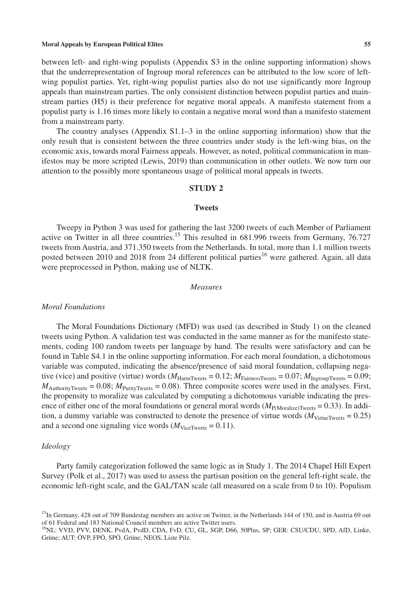between left- and right-wing populists (Appendix S3 in the online supporting information) shows that the underrepresentation of Ingroup moral references can be attributed to the low score of leftwing populist parties. Yet, right-wing populist parties also do not use significantly more Ingroup appeals than mainstream parties. The only consistent distinction between populist parties and mainstream parties (H5) is their preference for negative moral appeals. A manifesto statement from a populist party is 1.16 times more likely to contain a negative moral word than a manifesto statement from a mainstream party.

The country analyses (Appendix S1.1–3 in the online supporting information) show that the only result that is consistent between the three countries under study is the left-wing bias, on the economic axis, towards moral Fairness appeals. However, as noted, political communication in manifestos may be more scripted (Lewis, 2019) than communication in other outlets. We now turn our attention to the possibly more spontaneous usage of political moral appeals in tweets.

# **STUDY 2**

#### **Tweets**

Tweepy in Python 3 was used for gathering the last 3200 tweets of each Member of Parliament active on Twitter in all three countries.<sup>15</sup> This resulted in 681.996 tweets from Germany, 76.727 tweets from Austria, and 371.350 tweets from the Netherlands. In total, more than 1.1 million tweets posted between 2010 and 2018 from 24 different political parties<sup>16</sup> were gathered. Again, all data were preprocessed in Python, making use of NLTK.

#### *Measures*

#### *Moral Foundations*

The Moral Foundations Dictionary (MFD) was used (as described in Study 1) on the cleaned tweets using Python. A validation test was conducted in the same manner as for the manifesto statements, coding 100 random tweets per language by hand. The results were satisfactory and can be found in Table S4.1 in the online supporting information. For each moral foundation, a dichotomous variable was computed, indicating the absence/presence of said moral foundation, collapsing negative (vice) and positive (virtue) words  $(M_{\text{HarmTweets}} = 0.12; M_{\text{FairnessTweets}} = 0.07; M_{\text{IngroupTweets}} = 0.09;$  $M_{\text{AuthorityTweets}} = 0.08$ ;  $M_{\text{PurityTweets}} = 0.08$ ). Three composite scores were used in the analyses. First, the propensity to moralize was calculated by computing a dichotomous variable indicating the presence of either one of the moral foundations or general moral words  $(M_{P(Moralize)Tweets} = 0.33)$ . In addition, a dummy variable was constructed to denote the presence of virtue words  $(M_{\text{Virtual-Weets}} = 0.25)$ and a second one signaling vice words  $(M<sub>ViceTweets</sub> = 0.11)$ .

#### *Ideology*

Party family categorization followed the same logic as in Study 1. The 2014 Chapel Hill Expert Survey (Polk et al., 2017) was used to assess the partisan position on the general left-right scale, the economic left-right scale, and the GAL/TAN scale (all measured on a scale from 0 to 10). Populism

<sup>&</sup>lt;sup>15</sup>In Germany, 428 out of 709 Bundestag members are active on Twitter, in the Netherlands 144 of 150, and in Austria 69 out of 61 Federal and 183 National Council members are active Twitter users.

<sup>16</sup>NL: VVD, PVV, DENK, PvdA, PvdD, CDA, FvD, CU, GL, SGP, D66, 50Plus, SP; GER: CSU/CDU, SPD, AfD, Linke, Grüne; AUT: ÖVP, FPÖ, SPÖ, Grüne, NEOS, Liste Pilz.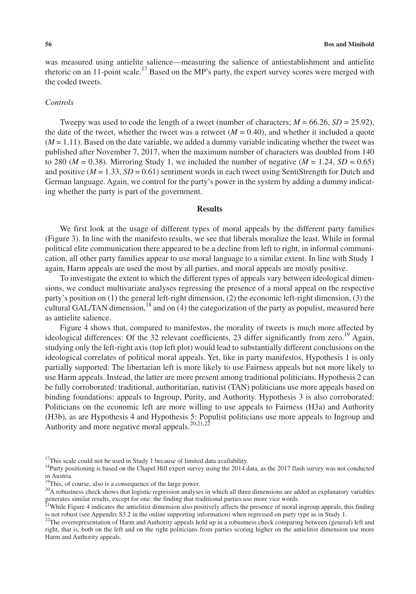was measured using antielite salience—measuring the salience of antiestablishment and antielite rhetoric on an 11-point scale.<sup>17</sup> Based on the MP's party, the expert survey scores were merged with the coded tweets.

#### *Controls*

Tweepy was used to code the length of a tweet (number of characters;  $M = 66.26$ ,  $SD = 25.92$ ), the date of the tweet, whether the tweet was a retweet  $(M = 0.40)$ , and whether it included a quote (*M* = 1.11). Based on the date variable, we added a dummy variable indicating whether the tweet was published after November 7, 2017, when the maximum number of characters was doubled from 140 to 280 ( $M = 0.38$ ). Mirroring Study 1, we included the number of negative ( $M = 1.24$ ,  $SD = 0.65$ ) and positive  $(M = 1.33, SD = 0.61)$  sentiment words in each tweet using SentiStrength for Dutch and German language. Again, we control for the party's power in the system by adding a dummy indicating whether the party is part of the government.

## **Results**

We first look at the usage of different types of moral appeals by the different party families (Figure 3). In line with the manifesto results, we see that liberals moralize the least. While in formal political elite communication there appeared to be a decline from left to right, in informal communication, all other party families appear to use moral language to a similar extent. In line with Study 1 again, Harm appeals are used the most by all parties, and moral appeals are mostly positive.

To investigate the extent to which the different types of appeals vary between ideological dimensions, we conduct multivariate analyses regressing the presence of a moral appeal on the respective party's position on (1) the general left-right dimension, (2) the economic left-right dimension, (3) the cultural GAL/TAN dimension,<sup>18</sup> and on  $(4)$  the categorization of the party as populist, measured here as antielite salience.

Figure 4 shows that, compared to manifestos, the morality of tweets is much more affected by ideological differences: Of the 32 relevant coefficients, 23 differ significantly from zero.<sup>19</sup> Again, studying only the left-right axis (top left plot) would lead to substantially different conclusions on the ideological correlates of political moral appeals. Yet, like in party manifestos, Hypothesis 1 is only partially supported: The libertarian left is more likely to use Fairness appeals but not more likely to use Harm appeals. Instead, the latter are more present among traditional politicians. Hypothesis 2 can be fully corroborated: traditional, authoritarian, nativist (TAN) politicians use more appeals based on binding foundations: appeals to Ingroup, Purity, and Authority. Hypothesis 3 is also corroborated: Politicians on the economic left are more willing to use appeals to Fairness (H3a) and Authority (H3b), as are Hypothesis 4 and Hypothesis 5: Populist politicians use more appeals to Ingroup and Authority and more negative moral appeals.<sup>20,21,22</sup>

 $17$ This scale could not be used in Study 1 because of limited data availability.

<sup>&</sup>lt;sup>18</sup>Party positioning is based on the Chapel Hill expert survey using the 2014 data, as the 2017 flash survey was not conducted in Austria.

<sup>&</sup>lt;sup>19</sup>This, of course, also is a consequence of the large power.

<sup>&</sup>lt;sup>20</sup>A robustness check shows that logistic regression analyses in which all three dimensions are added as explanatory variables generates similar results, except for one: the finding that traditional parties use more vice words.<br><sup>21</sup>While Figure 4 indicates the antielitist dimension also positively affects the presence of moral ingroup appeals, thi

is not robust (see Appendix S3.2 in the online supporting information) when regressed on party type as in Study 1.

 $22$ The overrepresentation of Harm and Authority appeals hold up in a robustness check comparing between (general) left and right, that is, both on the left and on the right politicians from parties scoring higher on the antielitist dimension use more Harm and Authority appeals.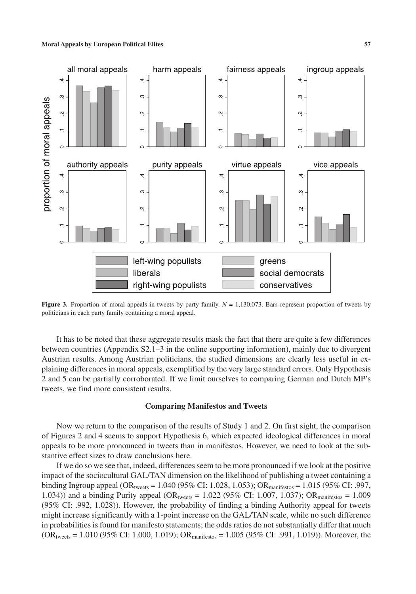

**Figure 3.** Proportion of moral appeals in tweets by party family.  $N = 1,130,073$ . Bars represent proportion of tweets by politicians in each party family containing a moral appeal.

It has to be noted that these aggregate results mask the fact that there are quite a few differences between countries (Appendix S2.1–3 in the online supporting information), mainly due to divergent Austrian results. Among Austrian politicians, the studied dimensions are clearly less useful in explaining differences in moral appeals, exemplified by the very large standard errors. Only Hypothesis 2 and 5 can be partially corroborated. If we limit ourselves to comparing German and Dutch MP's tweets, we find more consistent results.

#### **Comparing Manifestos and Tweets**

Now we return to the comparison of the results of Study 1 and 2. On first sight, the comparison of Figures 2 and 4 seems to support Hypothesis 6, which expected ideological differences in moral appeals to be more pronounced in tweets than in manifestos. However, we need to look at the substantive effect sizes to draw conclusions here.

If we do so we see that, indeed, differences seem to be more pronounced if we look at the positive impact of the sociocultural GAL/TAN dimension on the likelihood of publishing a tweet containing a binding Ingroup appeal (OR<sub>tweets</sub> = 1.040 (95% CI: 1.028, 1.053); OR<sub>manifestos</sub> = 1.015 (95% CI: .997, 1.034)) and a binding Purity appeal (OR<sub>tweets</sub> = 1.022 (95% CI: 1.007, 1.037); OR<sub>manifestos</sub> = 1.009 (95% CI: .992, 1.028)). However, the probability of finding a binding Authority appeal for tweets might increase significantly with a 1-point increase on the GAL/TAN scale, while no such difference in probabilities is found for manifesto statements; the odds ratios do not substantially differ that much  $(OR_{tweets} = 1.010 (95\% \text{ CI: } 1.000, 1.019); OR_{manifestos} = 1.005 (95\% \text{ CI: } .991, 1.019)).$  Moreover, the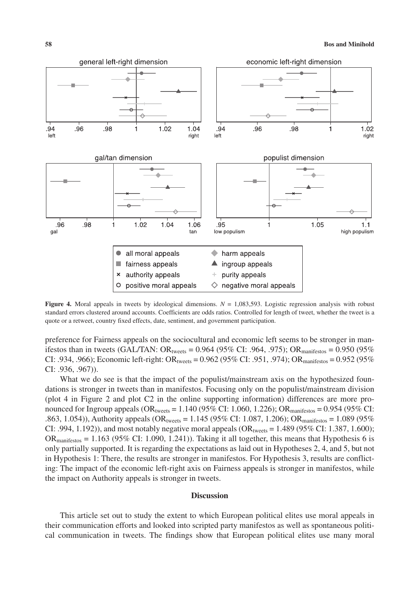

**Figure 4.** Moral appeals in tweets by ideological dimensions.  $N = 1.083,593$ . Logistic regression analysis with robust standard errors clustered around accounts. Coefficients are odds ratios. Controlled for length of tweet, whether the tweet is a quote or a retweet, country fixed effects, date, sentiment, and government participation.

preference for Fairness appeals on the sociocultural and economic left seems to be stronger in manifestos than in tweets (GAL/TAN: OR<sub>tweets</sub> = 0.964 (95% CI: .964, .975); OR<sub>manifestos</sub> = 0.950 (95% CI: .934, .966); Economic left-right: OR<sub>tweets</sub> = 0.962 (95% CI: .951, .974); OR $_{manifestos}$  = 0.952 (95%) CI: .936, .967)).

What we do see is that the impact of the populist/mainstream axis on the hypothesized foundations is stronger in tweets than in manifestos. Focusing only on the populist/mainstream division (plot 4 in Figure 2 and plot C2 in the online supporting information) differences are more pronounced for Ingroup appeals  $(OR_{tweets} = 1.140 (95\% \text{ CI: } 1.060, 1.226)$ ;  $OR_{mantiestos} = 0.954 (95\% \text{ CI: } 1.060, 1.226)$ .863, 1.054)), Authority appeals ( $OR<sub>tweets</sub> = 1.145$  (95% CI: 1.087, 1.206); OR<sub>manifestos</sub> = 1.089 (95%) CI: .994, 1.192)), and most notably negative moral appeals  $OR_{tweets} = 1.489 (95\% CI: 1.387, 1.600);$  $OR<sub>manifestos</sub> = 1.163 (95% CI: 1.090, 1.241)$ . Taking it all together, this means that Hypothesis 6 is only partially supported. It is regarding the expectations as laid out in Hypotheses 2, 4, and 5, but not in Hypothesis 1: There, the results are stronger in manifestos. For Hypothesis 3, results are conflicting: The impact of the economic left-right axis on Fairness appeals is stronger in manifestos, while the impact on Authority appeals is stronger in tweets.

#### **Discussion**

This article set out to study the extent to which European political elites use moral appeals in their communication efforts and looked into scripted party manifestos as well as spontaneous political communication in tweets. The findings show that European political elites use many moral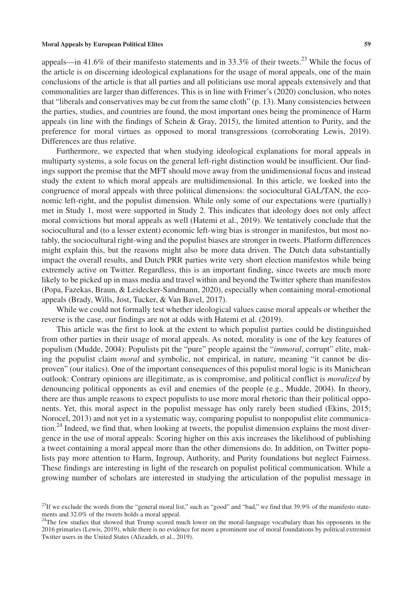appeals—in 41.6% of their manifesto statements and in 33.3% of their tweets.<sup>23</sup> While the focus of the article is on discerning ideological explanations for the usage of moral appeals, one of the main conclusions of the article is that all parties and all politicians use moral appeals extensively and that commonalities are larger than differences. This is in line with Frimer's (2020) conclusion, who notes that "liberals and conservatives may be cut from the same cloth" (p. 13). Many consistencies between the parties, studies, and countries are found, the most important ones being the prominence of Harm appeals (in line with the findings of Schein & Gray, 2015), the limited attention to Purity, and the preference for moral virtues as opposed to moral transgressions (corroborating Lewis, 2019). Differences are thus relative.

Furthermore, we expected that when studying ideological explanations for moral appeals in multiparty systems, a sole focus on the general left-right distinction would be insufficient. Our findings support the premise that the MFT should move away from the unidimensional focus and instead study the extent to which moral appeals are multidimensional. In this article, we looked into the congruence of moral appeals with three political dimensions: the sociocultural GAL/TAN, the economic left-right, and the populist dimension. While only some of our expectations were (partially) met in Study 1, most were supported in Study 2. This indicates that ideology does not only affect moral convictions but moral appeals as well (Hatemi et al., 2019). We tentatively conclude that the sociocultural and (to a lesser extent) economic left-wing bias is stronger in manifestos, but most notably, the sociocultural right-wing and the populist biases are stronger in tweets. Platform differences might explain this, but the reasons might also be more data driven. The Dutch data substantially impact the overall results, and Dutch PRR parties write very short election manifestos while being extremely active on Twitter. Regardless, this is an important finding, since tweets are much more likely to be picked up in mass media and travel within and beyond the Twitter sphere than manifestos (Popa, Fazekas, Braun, & Leidecker-Sandmann, 2020), especially when containing moral-emotional appeals (Brady, Wills, Jost, Tucker, & Van Bavel, 2017).

While we could not formally test whether ideological values cause moral appeals or whether the reverse is the case, our findings are not at odds with Hatemi et al. (2019).

This article was the first to look at the extent to which populist parties could be distinguished from other parties in their usage of moral appeals. As noted, morality is one of the key features of populism (Mudde, 2004): Populists pit the "pure" people against the "*immoral*, corrupt" elite, making the populist claim *moral* and symbolic, not empirical, in nature, meaning "it cannot be disproven" (our italics). One of the important consequences of this populist moral logic is its Manichean outlook: Contrary opinions are illegitimate, as is compromise, and political conflict is *moralized* by denouncing political opponents as evil and enemies of the people (e.g., Mudde, 2004). In theory, there are thus ample reasons to expect populists to use more moral rhetoric than their political opponents. Yet, this moral aspect in the populist message has only rarely been studied (Ekins, 2015; Norocel, 2013) and not yet in a systematic way, comparing populist to nonpopulist elite communication.<sup>24</sup> Indeed, we find that, when looking at tweets, the populist dimension explains the most divergence in the use of moral appeals: Scoring higher on this axis increases the likelihood of publishing a tweet containing a moral appeal more than the other dimensions do. In addition, on Twitter populists pay more attention to Harm, Ingroup, Authority, and Purity foundations but neglect Fairness. These findings are interesting in light of the research on populist political communication. While a growing number of scholars are interested in studying the articulation of the populist message in

 $^{23}$ If we exclude the words from the "general moral list," such as "good" and "bad," we find that 39.9% of the manifesto statements and 32.0% of the tweets holds a moral appeal.

<sup>&</sup>lt;sup>24</sup>The few studies that showed that Trump scored much lower on the moral-language vocabulary than his opponents in the 2016 primaries (Lewis, 2019), while there is no evidence for more a prominent use of moral foundations by political extremist Twitter users in the United States (Alizadeh, et al., 2019).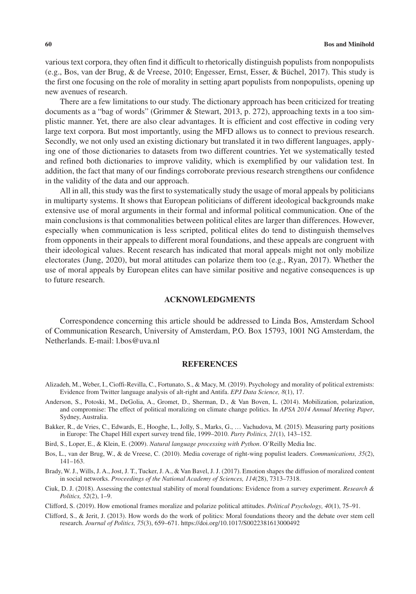various text corpora, they often find it difficult to rhetorically distinguish populists from nonpopulists (e.g., Bos, van der Brug, & de Vreese, 2010; Engesser, Ernst, Esser, & Büchel, 2017). This study is the first one focusing on the role of morality in setting apart populists from nonpopulists, opening up new avenues of research.

There are a few limitations to our study. The dictionary approach has been criticized for treating documents as a "bag of words" (Grimmer & Stewart, 2013, p. 272), approaching texts in a too simplistic manner. Yet, there are also clear advantages. It is efficient and cost effective in coding very large text corpora. But most importantly, using the MFD allows us to connect to previous research. Secondly, we not only used an existing dictionary but translated it in two different languages, applying one of those dictionaries to datasets from two different countries. Yet we systematically tested and refined both dictionaries to improve validity, which is exemplified by our validation test. In addition, the fact that many of our findings corroborate previous research strengthens our confidence in the validity of the data and our approach.

All in all, this study was the first to systematically study the usage of moral appeals by politicians in multiparty systems. It shows that European politicians of different ideological backgrounds make extensive use of moral arguments in their formal and informal political communication. One of the main conclusions is that commonalities between political elites are larger than differences. However, especially when communication is less scripted, political elites do tend to distinguish themselves from opponents in their appeals to different moral foundations, and these appeals are congruent with their ideological values. Recent research has indicated that moral appeals might not only mobilize electorates (Jung, 2020), but moral attitudes can polarize them too (e.g., Ryan, 2017). Whether the use of moral appeals by European elites can have similar positive and negative consequences is up to future research.

## **ACKNOWLEDGMENTS**

Correspondence concerning this article should be addressed to Linda Bos, Amsterdam School of Communication Research, University of Amsterdam, P.O. Box 15793, 1001 NG Amsterdam, the Netherlands. E-mail: [l.bos@uva.nl](mailto:l.bos@uva.nl)

#### **REFERENCES**

- Alizadeh, M., Weber, I., Cioffi-Revilla, C., Fortunato, S., & Macy, M. (2019). Psychology and morality of political extremists: Evidence from Twitter language analysis of alt-right and Antifa. *EPJ Data Science, 8*(1), 17.
- Anderson, S., Potoski, M., DeGolia, A., Gromet, D., Sherman, D., & Van Boven, L. (2014). Mobilization, polarization, and compromise: The effect of political moralizing on climate change politics. In *APSA 2014 Annual Meeting Paper*, Sydney, Australia.

Bakker, R., de Vries, C., Edwards, E., Hooghe, L., Jolly, S., Marks, G., … Vachudova, M. (2015). Measuring party positions in Europe: The Chapel Hill expert survey trend file, 1999–2010. *Party Politics, 21*(1), 143–152.

Bird, S., Loper, E., & Klein, E. (2009). *Natural language processing with Python*. O'Reilly Media Inc.

- Bos, L., van der Brug, W., & de Vreese, C. (2010). Media coverage of right-wing populist leaders. *Communications, 35*(2), 141–163.
- Brady, W. J., Wills, J. A., Jost, J. T., Tucker, J. A., & Van Bavel, J. J. (2017). Emotion shapes the diffusion of moralized content in social networks. *Proceedings of the National Academy of Sciences, 114*(28), 7313–7318.
- Ciuk, D. J. (2018). Assessing the contextual stability of moral foundations: Evidence from a survey experiment. *Research & Politics, 52*(2), 1–9.

Clifford, S. (2019). How emotional frames moralize and polarize political attitudes. *Political Psychology, 40*(1), 75–91.

Clifford, S., & Jerit, J. (2013). How words do the work of politics: Moral foundations theory and the debate over stem cell research. *Journal of Politics, 75*(3), 659–671.<https://doi.org/10.1017/S0022381613000492>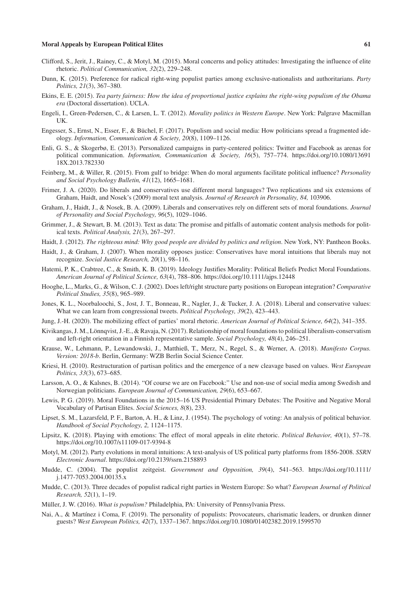- Clifford, S., Jerit, J., Rainey, C., & Motyl, M. (2015). Moral concerns and policy attitudes: Investigating the influence of elite rhetoric. *Political Communication, 32*(2), 229–248.
- Dunn, K. (2015). Preference for radical right-wing populist parties among exclusive-nationalists and authoritarians. *Party Politics, 21*(3), 367–380.
- Ekins, E. E. (2015). *Tea party fairness: How the idea of proportional justice explains the right-wing populism of the Obama era* (Doctoral dissertation). UCLA.
- Engeli, I., Green-Pedersen, C., & Larsen, L. T. (2012). *Morality politics in Western Europe*. New York: Palgrave Macmillan UK.
- Engesser, S., Ernst, N., Esser, F., & Büchel, F. (2017). Populism and social media: How politicians spread a fragmented ideology. *Information, Communication & Society, 20*(8), 1109–1126.
- Enli, G. S., & Skogerbø, E. (2013). Personalized campaigns in party-centered politics: Twitter and Facebook as arenas for political communication. *Information, Communication & Society, 16*(5), 757–774. [https://doi.org/10.1080/13691](https://doi.org/10.1080/1369118X.2013.782330) [18X.2013.782330](https://doi.org/10.1080/1369118X.2013.782330)
- Feinberg, M., & Willer, R. (2015). From gulf to bridge: When do moral arguments facilitate political influence? *Personality and Social Psychology Bulletin, 41*(12), 1665–1681.
- Frimer, J. A. (2020). Do liberals and conservatives use different moral languages? Two replications and six extensions of Graham, Haidt, and Nosek's (2009) moral text analysis. *Journal of Research in Personality, 84,* 103906.
- Graham, J., Haidt, J., & Nosek, B. A. (2009). Liberals and conservatives rely on different sets of moral foundations. *Journal of Personality and Social Psychology, 96*(5), 1029–1046.
- Grimmer, J., & Stewart, B. M. (2013). Text as data: The promise and pitfalls of automatic content analysis methods for political texts. *Political Analysis, 21*(3), 267–297.
- Haidt, J. (2012). *The righteous mind: Why good people are divided by politics and religion*. New York, NY: Pantheon Books.
- Haidt, J., & Graham, J. (2007). When morality opposes justice: Conservatives have moral intuitions that liberals may not recognize. *Social Justice Research, 20*(1), 98–116.
- Hatemi, P. K., Crabtree, C., & Smith, K. B. (2019). Ideology Justifies Morality: Political Beliefs Predict Moral Foundations. *American Journal of Political Science, 63*(4), 788–806.<https://doi.org/10.1111/ajps.12448>
- Hooghe, L., Marks, G., & Wilson, C. J. (2002). Does left/right structure party positions on European integration? *Comparative Political Studies, 35*(8), 965–989.
- Jones, K. L., Noorbaloochi, S., Jost, J. T., Bonneau, R., Nagler, J., & Tucker, J. A. (2018). Liberal and conservative values: What we can learn from congressional tweets. *Political Psychology, 39*(2), 423–443.
- Jung, J.-H. (2020). The mobilizing effect of parties' moral rhetoric. *American Journal of Political Science, 64*(2), 341–355.
- Kivikangas, J. M., Lönnqvist, J.-E., & Ravaja, N. (2017). Relationship of moral foundations to political liberalism-conservatism and left-right orientation in a Finnish representative sample. *Social Psychology, 48*(4), 246–251.
- Krause, W., Lehmann, P., Lewandowski, J., Matthieß, T., Merz, N., Regel, S., & Werner, A. (2018). *Manifesto Corpus. Version: 2018-b*. Berlin, Germany: WZB Berlin Social Science Center.
- Kriesi, H. (2010). Restructuration of partisan politics and the emergence of a new cleavage based on values. *West European Politics, 33*(3), 673–685.
- Larsson, A. O., & Kalsnes, B. (2014). "Of course we are on Facebook:" Use and non-use of social media among Swedish and Norwegian politicians. *European Journal of Communication, 29*(6), 653–667.
- Lewis, P. G. (2019). Moral Foundations in the 2015–16 US Presidential Primary Debates: The Positive and Negative Moral Vocabulary of Partisan Elites. *Social Sciences, 8*(8), 233.
- Lipset, S. M., Lazarsfeld, P. F., Barton, A. H., & Linz, J. (1954). The psychology of voting: An analysis of political behavior. *Handbook of Social Psychology, 2,* 1124–1175.
- Lipsitz, K. (2018). Playing with emotions: The effect of moral appeals in elite rhetoric. *Political Behavior, 40*(1), 57–78. <https://doi.org/10.1007/s11109-017-9394-8>
- Motyl, M. (2012). Party evolutions in moral intuitions: A text-analysis of US political party platforms from 1856-2008. *SSRN Electronic Journal*.<https://doi.org/10.2139/ssrn.2158893>
- Mudde, C. (2004). The populist zeitgeist. *Government and Opposition, 39*(4), 541–563. [https://doi.org/10.1111/](https://doi.org/10.1111/j.1477-7053.2004.00135.x) [j.1477-7053.2004.00135.x](https://doi.org/10.1111/j.1477-7053.2004.00135.x)
- Mudde, C. (2013). Three decades of populist radical right parties in Western Europe: So what? *European Journal of Political Research, 52*(1), 1–19.
- Müller, J. W. (2016). *What is populism?* Philadelphia, PA: University of Pennsylvania Press.
- Nai, A., & Martínez i Coma, F. (2019). The personality of populists: Provocateurs, charismatic leaders, or drunken dinner guests? *West European Politics, 42*(7), 1337–1367.<https://doi.org/10.1080/01402382.2019.1599570>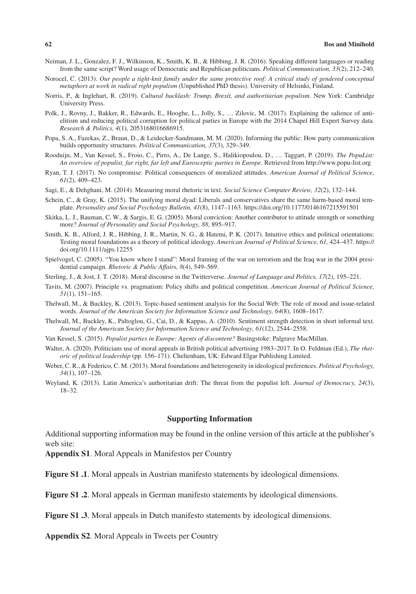- Neiman, J. L., Gonzalez, F. J., Wilkinson, K., Smith, K. B., & Hibbing, J. R. (2016). Speaking different languages or reading from the same script? Word usage of Democratic and Republican politicians. *Political Communication, 33*(2), 212–240.
- Norocel, C. (2013). *Our people a tight-knit family under the same protective roof: A critical study of gendered conceptual metaphors at work in radical right populism* (Unpublished PhD thesis). University of Helsinki, Finland.
- Norris, P., & Inglehart, R. (2019). *Cultural backlash: Trump, Brexit, and authoritarian populism*. New York: Cambridge University Press.
- Polk, J., Rovny, J., Bakker, R., Edwards, E., Hooghe, L., Jolly, S., … Zilovic, M. (2017). Explaining the salience of antielitism and reducing political corruption for political parties in Europe with the 2014 Chapel Hill Expert Survey data. *Research & Politics, 4*(1), 2053168016686915.
- Popa, S. A., Fazekas, Z., Braun, D., & Leidecker-Sandmann, M. M. (2020). Informing the public: How party communication builds opportunity structures. *Political Communication, 37*(3), 329–349.
- Rooduijn, M., Van Kessel, S., Froio, C., Pirro, A., De Lange, S., Halikiopoulou, D., … Taggart, P. (2019). *The PopuList: An overview of populist, far right, far left and Eurosceptic parties in Europe*. Retrieved from<http://www.popu-list.org>
- Ryan, T. J. (2017). No compromise: Political consequences of moralized attitudes. *American Journal of Political Science, 61*(2), 409–423.
- Sagi, E., & Dehghani, M. (2014). Measuring moral rhetoric in text. *Social Science Computer Review, 32*(2), 132–144.
- Schein, C., & Gray, K. (2015). The unifying moral dyad: Liberals and conservatives share the same harm-based moral template. *Personality and Social Psychology Bulletin, 41*(8), 1147–1163. <https://doi.org/10.1177/0146167215591501>
- Skitka, L. J., Bauman, C. W., & Sargis, E. G. (2005). Moral conviction: Another contributor to attitude strength or something more? *Journal of Personality and Social Psychology, 88,* 895–917.
- Smith, K. B., Alford, J. R., Hibbing, J. R., Martin, N. G., & Hatemi, P. K. (2017). Intuitive ethics and political orientations: Testing moral foundations as a theory of political ideology. *American Journal of Political Science, 61,* 424–437. [https://](https://doi.org/10.1111/ajps.12255) [doi.org/10.1111/ajps.12255](https://doi.org/10.1111/ajps.12255)
- Spielvogel, C. (2005). "You know where I stand": Moral framing of the war on terrorism and the Iraq war in the 2004 presidential campaign. *Rhetoric & Public Affairs, 8*(4), 549–569.
- Sterling, J., & Jost, J. T. (2018). Moral discourse in the Twitterverse. *Journal of Language and Politics, 17*(2), 195–221.
- Tavits, M. (2007). Principle vs. pragmatism: Policy shifts and political competition. *American Journal of Political Science, 51*(1), 151–165.
- Thelwall, M., & Buckley, K. (2013). Topic-based sentiment analysis for the Social Web: The role of mood and issue-related words. *Journal of the American Society for Information Science and Technology, 64*(8), 1608–1617.
- Thelwall, M., Buckley, K., Paltoglou, G., Cai, D., & Kappas, A. (2010). Sentiment strength detection in short informal text. *Journal of the American Society for Information Science and Technology, 61*(12), 2544–2558.
- Van Kessel, S. (2015). *Populist parties in Europe: Agents of discontent?* Basingstoke: Palgrave MacMillan.
- Walter, A. (2020). Politicians use of moral appeals in British political advertising 1983–2017. In O. Feldman (Ed.), *The rhetoric of political leadership* (pp. 156–171). Cheltenham, UK: Edward Elgar Publishing Limited.
- Weber, C. R., & Federico, C. M. (2013). Moral foundations and heterogeneity in ideological preferences. *Political Psychology, 34*(1), 107–126.
- Weyland, K. (2013). Latin America's authoritarian drift: The threat from the populist left. *Journal of Democracy, 24*(3), 18–32.

### **Supporting Information**

Additional supporting information may be found in the online version of this article at the publisher's web site:

**Appendix S1**. Moral Appeals in Manifestos per Country

**Figure S1 .1**. Moral appeals in Austrian manifesto statements by ideological dimensions.

**Figure S1 .2**. Moral appeals in German manifesto statements by ideological dimensions.

**Figure S1 .3**. Moral appeals in Dutch manifesto statements by ideological dimensions.

**Appendix S2**. Moral Appeals in Tweets per Country